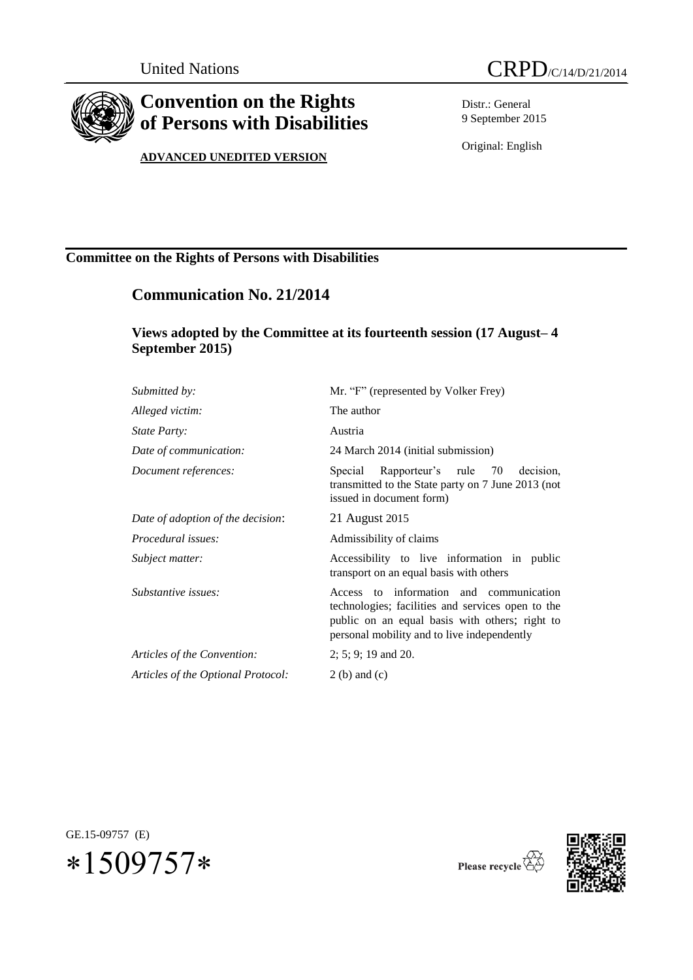

# **Convention on the Rights of Persons with Disabilities**

### **ADVANCED UNEDITED VERSION**

Distr.: General 9 September 2015

Original: English

### **Committee on the Rights of Persons with Disabilities**

## **Communication No. 21/2014**

### **Views adopted by the Committee at its fourteenth session (17 August– 4 September 2015)**

| Submitted by:                      | Mr. "F" (represented by Volker Frey)                                                                                                                                                          |
|------------------------------------|-----------------------------------------------------------------------------------------------------------------------------------------------------------------------------------------------|
| Alleged victim:                    | The author                                                                                                                                                                                    |
| <i>State Party:</i>                | Austria                                                                                                                                                                                       |
| Date of communication:             | 24 March 2014 (initial submission)                                                                                                                                                            |
| Document references:               | decision.<br>Special Rapporteur's rule 70<br>transmitted to the State party on 7 June 2013 (not<br>issued in document form)                                                                   |
| Date of adoption of the decision:  | 21 August 2015                                                                                                                                                                                |
| Procedural issues:                 | Admissibility of claims                                                                                                                                                                       |
| Subject matter:                    | Accessibility to live information in public<br>transport on an equal basis with others                                                                                                        |
| Substantive issues:                | Access to information and communication<br>technologies; facilities and services open to the<br>public on an equal basis with others; right to<br>personal mobility and to live independently |
| Articles of the Convention:        | $2; 5; 9; 19$ and 20.                                                                                                                                                                         |
| Articles of the Optional Protocol: | $2(b)$ and $(c)$                                                                                                                                                                              |
|                                    |                                                                                                                                                                                               |

GE.15-09757 (E)  $*1509757*$ 



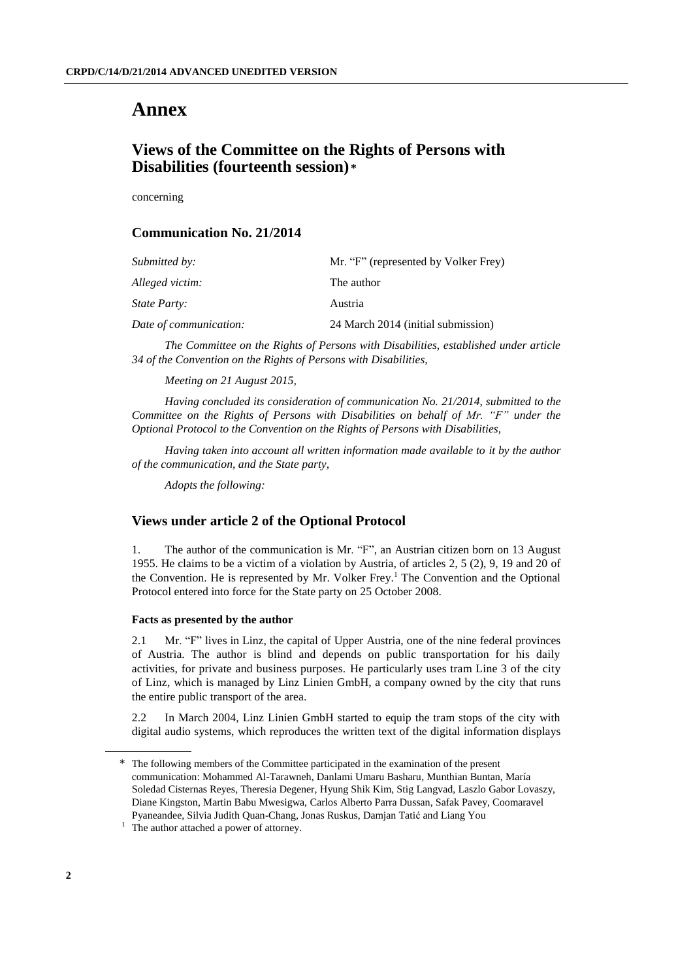# **Annex**

### **Views of the Committee on the Rights of Persons with Disabilities (fourteenth session) \***

concerning

### **Communication No. 21/2014**

| Submitted by:          | Mr. "F" (represented by Volker Frey) |
|------------------------|--------------------------------------|
| Alleged victim:        | The author                           |
| <i>State Party:</i>    | Austria                              |
| Date of communication: | 24 March 2014 (initial submission)   |

*The Committee on the Rights of Persons with Disabilities, established under article 34 of the Convention on the Rights of Persons with Disabilities,*

*Meeting on 21 August 2015,*

*Having concluded its consideration of communication No. 21/2014, submitted to the Committee on the Rights of Persons with Disabilities on behalf of Mr. "F" under the Optional Protocol to the Convention on the Rights of Persons with Disabilities,*

*Having taken into account all written information made available to it by the author of the communication, and the State party,*

*Adopts the following:*

### **Views under article 2 of the Optional Protocol**

1. The author of the communication is Mr. "F", an Austrian citizen born on 13 August 1955. He claims to be a victim of a violation by Austria, of articles 2, 5 (2), 9, 19 and 20 of the Convention. He is represented by Mr. Volker Frey. <sup>1</sup> The Convention and the Optional Protocol entered into force for the State party on 25 October 2008.

#### **Facts as presented by the author**

2.1 Mr. "F" lives in Linz, the capital of Upper Austria, one of the nine federal provinces of Austria. The author is blind and depends on public transportation for his daily activities, for private and business purposes. He particularly uses tram Line 3 of the city of Linz, which is managed by Linz Linien GmbH, a company owned by the city that runs the entire public transport of the area.

2.2 In March 2004, Linz Linien GmbH started to equip the tram stops of the city with digital audio systems, which reproduces the written text of the digital information displays

<sup>\*</sup> The following members of the Committee participated in the examination of the present communication: [Mohammed Al-Tarawneh,](http://www2.ohchr.org/SPdocs/CRPD/CVMembers/MohammedAL-TARAWNEH.doc) Danlami Umaru Basharu, Munthian Buntan[, María](http://www2.ohchr.org/SPdocs/CRPD/CVMembers/MariaSoledadCISTERNAS-REYES.doc)  [Soledad Cisternas Reyes,](http://www2.ohchr.org/SPdocs/CRPD/CVMembers/MariaSoledadCISTERNAS-REYES.doc) Theresia Degener, [Hyung Shik Ki](http://www2.ohchr.org/SPdocs/CRPD/CVMembers/HyungShikKIM.doc)m, Stig Langvad, Laszlo Gabor Lovaszy, Diane Kingston, Martin Babu Mwesigwa, [Carlos](http://www2.ohchr.org/SPdocs/CRPD/CVMembers/CarlosRiosESPINOSA.doc) Alberto Parra Dussan, Safak Pavey, Coomaravel Pyaneandee, [Silvia Judith Quan-Chang,](http://www2.ohchr.org/SPdocs/CRPD/CVMembers/SilviaJudithQUAN-CHANG.doc) Jonas Ruskus, [Damjan Tatić](http://www2.ohchr.org/SPdocs/CRPD/CVMembers/DamjanTATIC.doc) and Liang You

<sup>&</sup>lt;sup>1</sup> The author attached a power of attorney.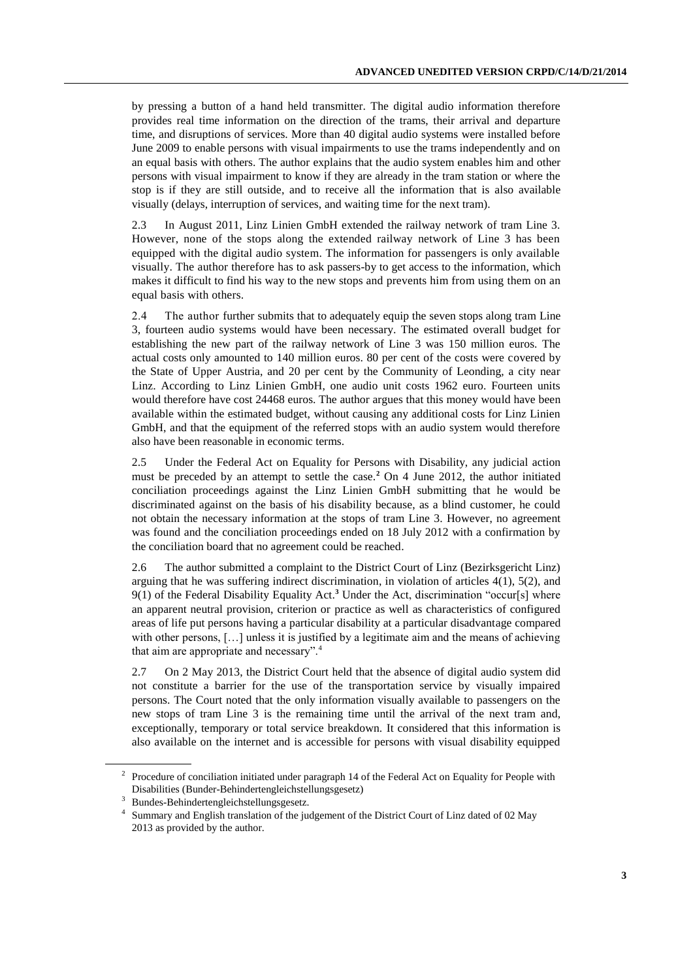by pressing a button of a hand held transmitter. The digital audio information therefore provides real time information on the direction of the trams, their arrival and departure time, and disruptions of services. More than 40 digital audio systems were installed before June 2009 to enable persons with visual impairments to use the trams independently and on an equal basis with others. The author explains that the audio system enables him and other persons with visual impairment to know if they are already in the tram station or where the stop is if they are still outside, and to receive all the information that is also available visually (delays, interruption of services, and waiting time for the next tram).

2.3 In August 2011, Linz Linien GmbH extended the railway network of tram Line 3. However, none of the stops along the extended railway network of Line 3 has been equipped with the digital audio system. The information for passengers is only available visually. The author therefore has to ask passers-by to get access to the information, which makes it difficult to find his way to the new stops and prevents him from using them on an equal basis with others.

2.4 The author further submits that to adequately equip the seven stops along tram Line 3, fourteen audio systems would have been necessary. The estimated overall budget for establishing the new part of the railway network of Line 3 was 150 million euros. The actual costs only amounted to 140 million euros. 80 per cent of the costs were covered by the State of Upper Austria, and 20 per cent by the Community of Leonding, a city near Linz. According to Linz Linien GmbH, one audio unit costs 1962 euro. Fourteen units would therefore have cost 24468 euros. The author argues that this money would have been available within the estimated budget, without causing any additional costs for Linz Linien GmbH, and that the equipment of the referred stops with an audio system would therefore also have been reasonable in economic terms.

2.5 Under the Federal Act on Equality for Persons with Disability, any judicial action must be preceded by an attempt to settle the case.**<sup>2</sup>** On 4 June 2012, the author initiated conciliation proceedings against the Linz Linien GmbH submitting that he would be discriminated against on the basis of his disability because, as a blind customer, he could not obtain the necessary information at the stops of tram Line 3. However, no agreement was found and the conciliation proceedings ended on 18 July 2012 with a confirmation by the conciliation board that no agreement could be reached.

2.6 The author submitted a complaint to the District Court of Linz (Bezirksgericht Linz) arguing that he was suffering indirect discrimination, in violation of articles 4(1), 5(2), and 9(1) of the Federal Disability Equality Act. **<sup>3</sup>** Under the Act, discrimination "occur[s] where an apparent neutral provision, criterion or practice as well as characteristics of configured areas of life put persons having a particular disability at a particular disadvantage compared with other persons, [...] unless it is justified by a legitimate aim and the means of achieving that aim are appropriate and necessary".<sup>4</sup>

2.7 On 2 May 2013, the District Court held that the absence of digital audio system did not constitute a barrier for the use of the transportation service by visually impaired persons. The Court noted that the only information visually available to passengers on the new stops of tram Line 3 is the remaining time until the arrival of the next tram and, exceptionally, temporary or total service breakdown. It considered that this information is also available on the internet and is accessible for persons with visual disability equipped

<sup>&</sup>lt;sup>2</sup> Procedure of conciliation initiated under paragraph 14 of the Federal Act on Equality for People with Disabilities (Bunder-Behindertengleichstellungsgesetz)

<sup>3</sup> Bundes-Behindertengleichstellungsgesetz.

<sup>4</sup> Summary and English translation of the judgement of the District Court of Linz dated of 02 May 2013 as provided by the author.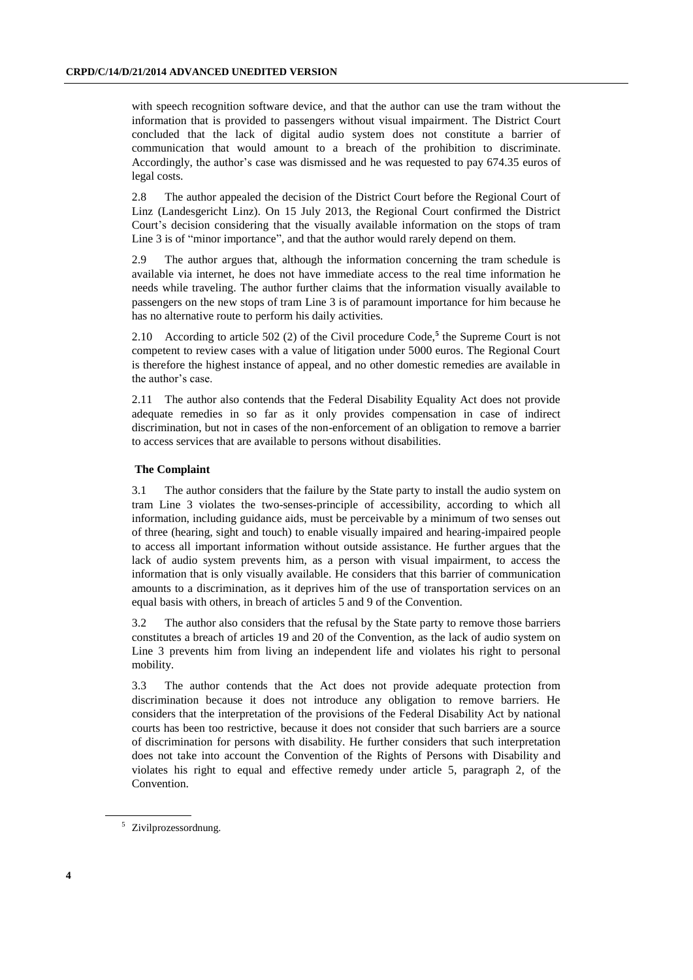with speech recognition software device, and that the author can use the tram without the information that is provided to passengers without visual impairment. The District Court concluded that the lack of digital audio system does not constitute a barrier of communication that would amount to a breach of the prohibition to discriminate. Accordingly, the author's case was dismissed and he was requested to pay 674.35 euros of legal costs.

2.8 The author appealed the decision of the District Court before the Regional Court of Linz (Landesgericht Linz). On 15 July 2013, the Regional Court confirmed the District Court's decision considering that the visually available information on the stops of tram Line 3 is of "minor importance", and that the author would rarely depend on them.

2.9 The author argues that, although the information concerning the tram schedule is available via internet, he does not have immediate access to the real time information he needs while traveling. The author further claims that the information visually available to passengers on the new stops of tram Line 3 is of paramount importance for him because he has no alternative route to perform his daily activities.

2.10 According to article 502 (2) of the Civil procedure Code,**<sup>5</sup>** the Supreme Court is not competent to review cases with a value of litigation under 5000 euros. The Regional Court is therefore the highest instance of appeal, and no other domestic remedies are available in the author's case.

2.11 The author also contends that the Federal Disability Equality Act does not provide adequate remedies in so far as it only provides compensation in case of indirect discrimination, but not in cases of the non-enforcement of an obligation to remove a barrier to access services that are available to persons without disabilities.

#### **The Complaint**

3.1 The author considers that the failure by the State party to install the audio system on tram Line 3 violates the two-senses-principle of accessibility, according to which all information, including guidance aids, must be perceivable by a minimum of two senses out of three (hearing, sight and touch) to enable visually impaired and hearing-impaired people to access all important information without outside assistance. He further argues that the lack of audio system prevents him, as a person with visual impairment, to access the information that is only visually available. He considers that this barrier of communication amounts to a discrimination, as it deprives him of the use of transportation services on an equal basis with others, in breach of articles 5 and 9 of the Convention.

3.2 The author also considers that the refusal by the State party to remove those barriers constitutes a breach of articles 19 and 20 of the Convention, as the lack of audio system on Line 3 prevents him from living an independent life and violates his right to personal mobility.

3.3 The author contends that the Act does not provide adequate protection from discrimination because it does not introduce any obligation to remove barriers. He considers that the interpretation of the provisions of the Federal Disability Act by national courts has been too restrictive, because it does not consider that such barriers are a source of discrimination for persons with disability. He further considers that such interpretation does not take into account the Convention of the Rights of Persons with Disability and violates his right to equal and effective remedy under article 5, paragraph 2, of the Convention.

<sup>5</sup> Zivilprozessordnung.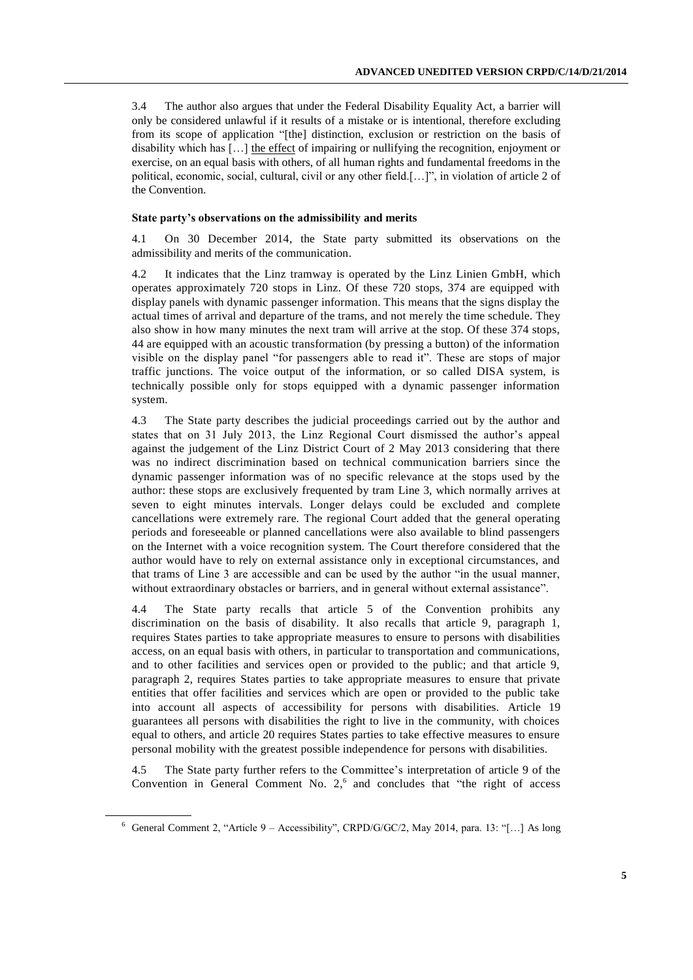3.4 The author also argues that under the Federal Disability Equality Act, a barrier will only be considered unlawful if it results of a mistake or is intentional, therefore excluding from its scope of application "[the] distinction, exclusion or restriction on the basis of disability which has [...] the effect of impairing or nullifying the recognition, enjoyment or exercise, on an equal basis with others, of all human rights and fundamental freedoms in the political, economic, social, cultural, civil or any other field.[…]", in violation of article 2 of the Convention.

#### **State party's observations on the admissibility and merits**

4.1 On 30 December 2014, the State party submitted its observations on the admissibility and merits of the communication.

4.2 It indicates that the Linz tramway is operated by the Linz Linien GmbH, which operates approximately 720 stops in Linz. Of these 720 stops, 374 are equipped with display panels with dynamic passenger information. This means that the signs display the actual times of arrival and departure of the trams, and not merely the time schedule. They also show in how many minutes the next tram will arrive at the stop. Of these 374 stops, 44 are equipped with an acoustic transformation (by pressing a button) of the information visible on the display panel "for passengers able to read it". These are stops of major traffic junctions. The voice output of the information, or so called DISA system, is technically possible only for stops equipped with a dynamic passenger information system.

4.3 The State party describes the judicial proceedings carried out by the author and states that on 31 July 2013, the Linz Regional Court dismissed the author's appeal against the judgement of the Linz District Court of 2 May 2013 considering that there was no indirect discrimination based on technical communication barriers since the dynamic passenger information was of no specific relevance at the stops used by the author: these stops are exclusively frequented by tram Line 3, which normally arrives at seven to eight minutes intervals. Longer delays could be excluded and complete cancellations were extremely rare. The regional Court added that the general operating periods and foreseeable or planned cancellations were also available to blind passengers on the Internet with a voice recognition system. The Court therefore considered that the author would have to rely on external assistance only in exceptional circumstances, and that trams of Line 3 are accessible and can be used by the author "in the usual manner, without extraordinary obstacles or barriers, and in general without external assistance".

4.4 The State party recalls that article 5 of the Convention prohibits any discrimination on the basis of disability. It also recalls that article 9, paragraph 1, requires States parties to take appropriate measures to ensure to persons with disabilities access, on an equal basis with others, in particular to transportation and communications, and to other facilities and services open or provided to the public; and that article 9, paragraph 2, requires States parties to take appropriate measures to ensure that private entities that offer facilities and services which are open or provided to the public take into account all aspects of accessibility for persons with disabilities. Article 19 guarantees all persons with disabilities the right to live in the community, with choices equal to others, and article 20 requires States parties to take effective measures to ensure personal mobility with the greatest possible independence for persons with disabilities.

4.5 The State party further refers to the Committee's interpretation of article 9 of the Convention in General Comment No. 2, 6 and concludes that "the right of access

 $6$  General Comment 2, "Article 9 – Accessibility", CRPD/G/GC/2, May 2014, para. 13: "[...] As long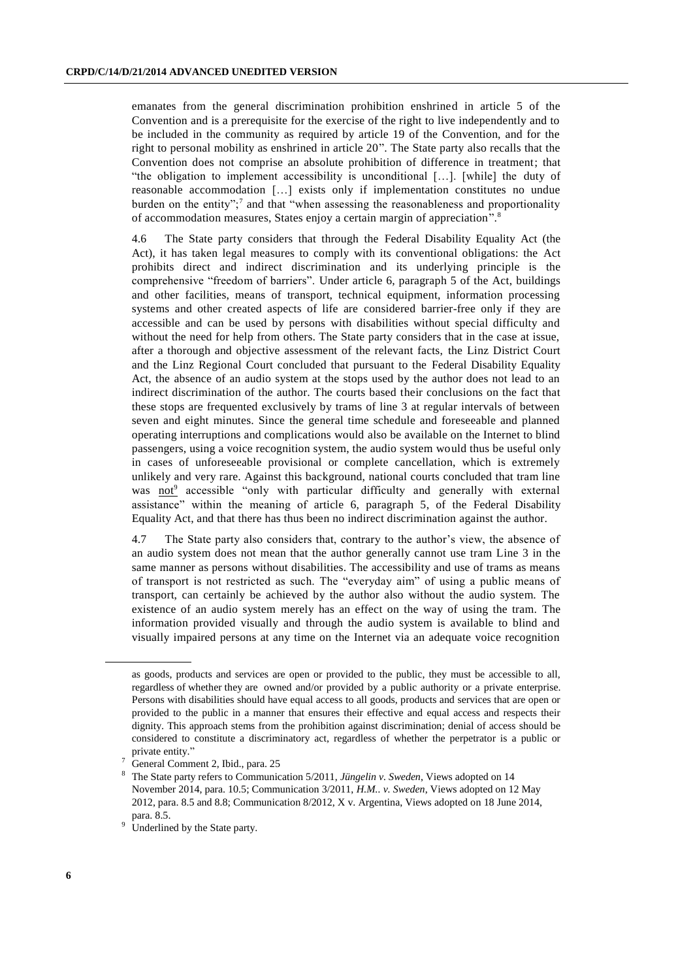emanates from the general discrimination prohibition enshrined in article 5 of the Convention and is a prerequisite for the exercise of the right to live independently and to be included in the community as required by article 19 of the Convention, and for the right to personal mobility as enshrined in article 20". The State party also recalls that the Convention does not comprise an absolute prohibition of difference in treatment; that "the obligation to implement accessibility is unconditional […]. [while] the duty of reasonable accommodation […] exists only if implementation constitutes no undue burden on the entity";<sup>7</sup> and that "when assessing the reasonableness and proportionality of accommodation measures, States enjoy a certain margin of appreciation".<sup>8</sup>

4.6 The State party considers that through the Federal Disability Equality Act (the Act), it has taken legal measures to comply with its conventional obligations: the Act prohibits direct and indirect discrimination and its underlying principle is the comprehensive "freedom of barriers". Under article 6, paragraph 5 of the Act, buildings and other facilities, means of transport, technical equipment, information processing systems and other created aspects of life are considered barrier-free only if they are accessible and can be used by persons with disabilities without special difficulty and without the need for help from others. The State party considers that in the case at issue, after a thorough and objective assessment of the relevant facts, the Linz District Court and the Linz Regional Court concluded that pursuant to the Federal Disability Equality Act, the absence of an audio system at the stops used by the author does not lead to an indirect discrimination of the author. The courts based their conclusions on the fact that these stops are frequented exclusively by trams of line 3 at regular intervals of between seven and eight minutes. Since the general time schedule and foreseeable and planned operating interruptions and complications would also be available on the Internet to blind passengers, using a voice recognition system, the audio system would thus be useful only in cases of unforeseeable provisional or complete cancellation, which is extremely unlikely and very rare. Against this background, national courts concluded that tram line was not<sup>9</sup> accessible "only with particular difficulty and generally with external assistance" within the meaning of article 6, paragraph 5, of the Federal Disability Equality Act, and that there has thus been no indirect discrimination against the author.

4.7 The State party also considers that, contrary to the author's view, the absence of an audio system does not mean that the author generally cannot use tram Line 3 in the same manner as persons without disabilities. The accessibility and use of trams as means of transport is not restricted as such. The "everyday aim" of using a public means of transport, can certainly be achieved by the author also without the audio system. The existence of an audio system merely has an effect on the way of using the tram. The information provided visually and through the audio system is available to blind and visually impaired persons at any time on the Internet via an adequate voice recognition

as goods, products and services are open or provided to the public, they must be accessible to all, regardless of whether they are owned and/or provided by a public authority or a private enterprise. Persons with disabilities should have equal access to all goods, products and services that are open or provided to the public in a manner that ensures their effective and equal access and respects their dignity. This approach stems from the prohibition against discrimination; denial of access should be considered to constitute a discriminatory act, regardless of whether the perpetrator is a public or private entity."

General Comment 2, Ibid., para. 25

<sup>8</sup> The State party refers to Communication 5/2011, *Jüngelin v. Sweden*, Views adopted on 14 November 2014, para. 10.5; Communication 3/2011, *H.M.. v. Sweden*, Views adopted on 12 May 2012, para. 8.5 and 8.8; Communication 8/2012, X v. Argentina, Views adopted on 18 June 2014, para. 8.5.

<sup>&</sup>lt;sup>9</sup> Underlined by the State party.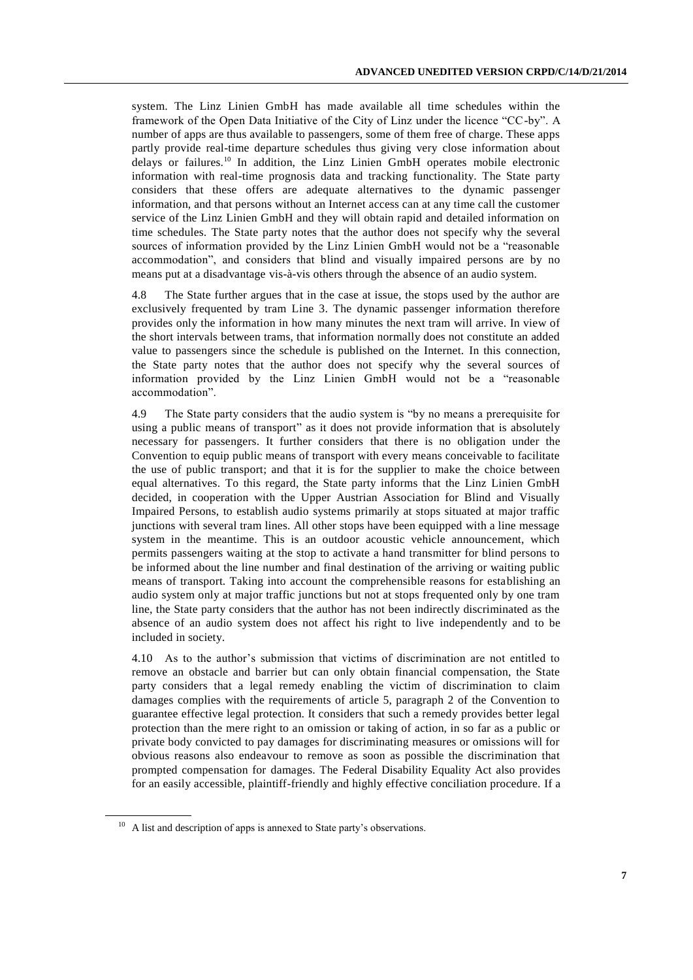system. The Linz Linien GmbH has made available all time schedules within the framework of the Open Data Initiative of the City of Linz under the licence "CC-by". A number of apps are thus available to passengers, some of them free of charge. These apps partly provide real-time departure schedules thus giving very close information about delays or failures.<sup>10</sup> In addition, the Linz Linien GmbH operates mobile electronic information with real-time prognosis data and tracking functionality. The State party considers that these offers are adequate alternatives to the dynamic passenger information, and that persons without an Internet access can at any time call the customer service of the Linz Linien GmbH and they will obtain rapid and detailed information on time schedules. The State party notes that the author does not specify why the several sources of information provided by the Linz Linien GmbH would not be a "reasonable accommodation", and considers that blind and visually impaired persons are by no means put at a disadvantage vis-à-vis others through the absence of an audio system.

4.8 The State further argues that in the case at issue, the stops used by the author are exclusively frequented by tram Line 3. The dynamic passenger information therefore provides only the information in how many minutes the next tram will arrive. In view of the short intervals between trams, that information normally does not constitute an added value to passengers since the schedule is published on the Internet. In this connection, the State party notes that the author does not specify why the several sources of information provided by the Linz Linien GmbH would not be a "reasonable accommodation".

4.9 The State party considers that the audio system is "by no means a prerequisite for using a public means of transport" as it does not provide information that is absolutely necessary for passengers. It further considers that there is no obligation under the Convention to equip public means of transport with every means conceivable to facilitate the use of public transport; and that it is for the supplier to make the choice between equal alternatives. To this regard, the State party informs that the Linz Linien GmbH decided, in cooperation with the Upper Austrian Association for Blind and Visually Impaired Persons, to establish audio systems primarily at stops situated at major traffic junctions with several tram lines. All other stops have been equipped with a line message system in the meantime. This is an outdoor acoustic vehicle announcement, which permits passengers waiting at the stop to activate a hand transmitter for blind persons to be informed about the line number and final destination of the arriving or waiting public means of transport. Taking into account the comprehensible reasons for establishing an audio system only at major traffic junctions but not at stops frequented only by one tram line, the State party considers that the author has not been indirectly discriminated as the absence of an audio system does not affect his right to live independently and to be included in society.

4.10 As to the author's submission that victims of discrimination are not entitled to remove an obstacle and barrier but can only obtain financial compensation, the State party considers that a legal remedy enabling the victim of discrimination to claim damages complies with the requirements of article 5, paragraph 2 of the Convention to guarantee effective legal protection. It considers that such a remedy provides better legal protection than the mere right to an omission or taking of action, in so far as a public or private body convicted to pay damages for discriminating measures or omissions will for obvious reasons also endeavour to remove as soon as possible the discrimination that prompted compensation for damages. The Federal Disability Equality Act also provides for an easily accessible, plaintiff-friendly and highly effective conciliation procedure. If a

 $10$  A list and description of apps is annexed to State party's observations.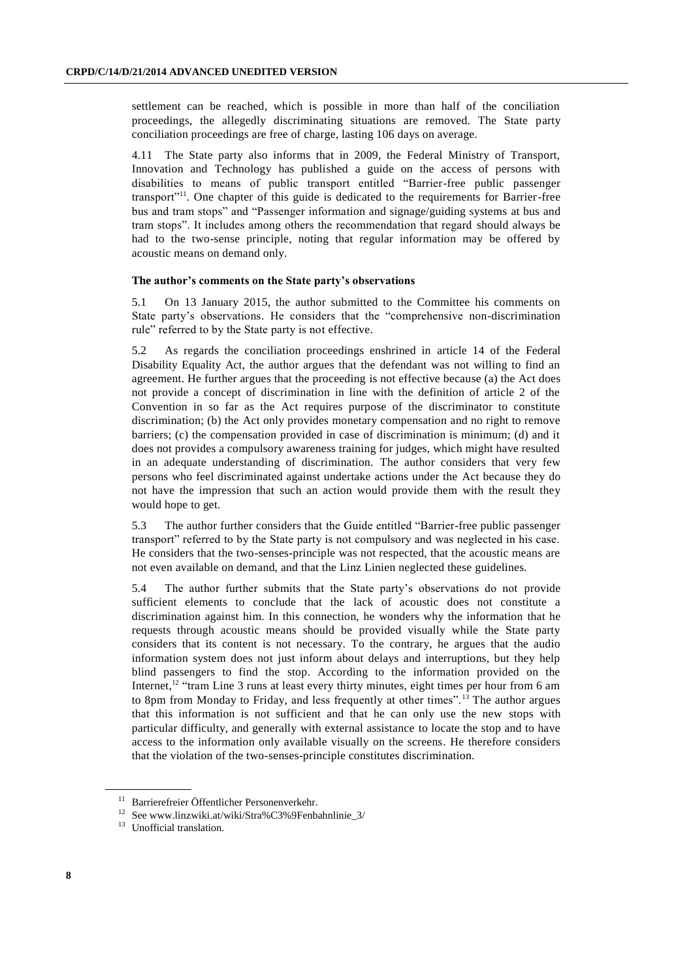settlement can be reached, which is possible in more than half of the conciliation proceedings, the allegedly discriminating situations are removed. The State party conciliation proceedings are free of charge, lasting 106 days on average.

4.11 The State party also informs that in 2009, the Federal Ministry of Transport, Innovation and Technology has published a guide on the access of persons with disabilities to means of public transport entitled "Barrier-free public passenger transport"<sup>11</sup>. One chapter of this guide is dedicated to the requirements for Barrier-free bus and tram stops" and "Passenger information and signage/guiding systems at bus and tram stops". It includes among others the recommendation that regard should always be had to the two-sense principle, noting that regular information may be offered by acoustic means on demand only.

#### **The author's comments on the State party's observations**

5.1 On 13 January 2015, the author submitted to the Committee his comments on State party's observations. He considers that the "comprehensive non-discrimination rule" referred to by the State party is not effective.

5.2 As regards the conciliation proceedings enshrined in article 14 of the Federal Disability Equality Act, the author argues that the defendant was not willing to find an agreement. He further argues that the proceeding is not effective because (a) the Act does not provide a concept of discrimination in line with the definition of article 2 of the Convention in so far as the Act requires purpose of the discriminator to constitute discrimination; (b) the Act only provides monetary compensation and no right to remove barriers; (c) the compensation provided in case of discrimination is minimum; (d) and it does not provides a compulsory awareness training for judges, which might have resulted in an adequate understanding of discrimination. The author considers that very few persons who feel discriminated against undertake actions under the Act because they do not have the impression that such an action would provide them with the result they would hope to get.

5.3 The author further considers that the Guide entitled "Barrier-free public passenger transport" referred to by the State party is not compulsory and was neglected in his case. He considers that the two-senses-principle was not respected, that the acoustic means are not even available on demand, and that the Linz Linien neglected these guidelines.

5.4 The author further submits that the State party's observations do not provide sufficient elements to conclude that the lack of acoustic does not constitute a discrimination against him. In this connection, he wonders why the information that he requests through acoustic means should be provided visually while the State party considers that its content is not necessary. To the contrary, he argues that the audio information system does not just inform about delays and interruptions, but they help blind passengers to find the stop. According to the information provided on the Internet,<sup>12</sup> "tram Line 3 runs at least every thirty minutes, eight times per hour from 6 am to 8pm from Monday to Friday, and less frequently at other times".<sup>13</sup> The author argues that this information is not sufficient and that he can only use the new stops with particular difficulty, and generally with external assistance to locate the stop and to have access to the information only available visually on the screens. He therefore considers that the violation of the two-senses-principle constitutes discrimination.

<sup>11</sup> Barrierefreier Öffentlicher Personenverkehr.

<sup>12</sup> Se[e www.linzwiki.at/wiki/Stra%C3%9Fenbahnlinie\\_3/](http://www.linzwiki.at/wiki/Stra%C3%9Fenbahnlinie_3/)

<sup>&</sup>lt;sup>13</sup> Unofficial translation.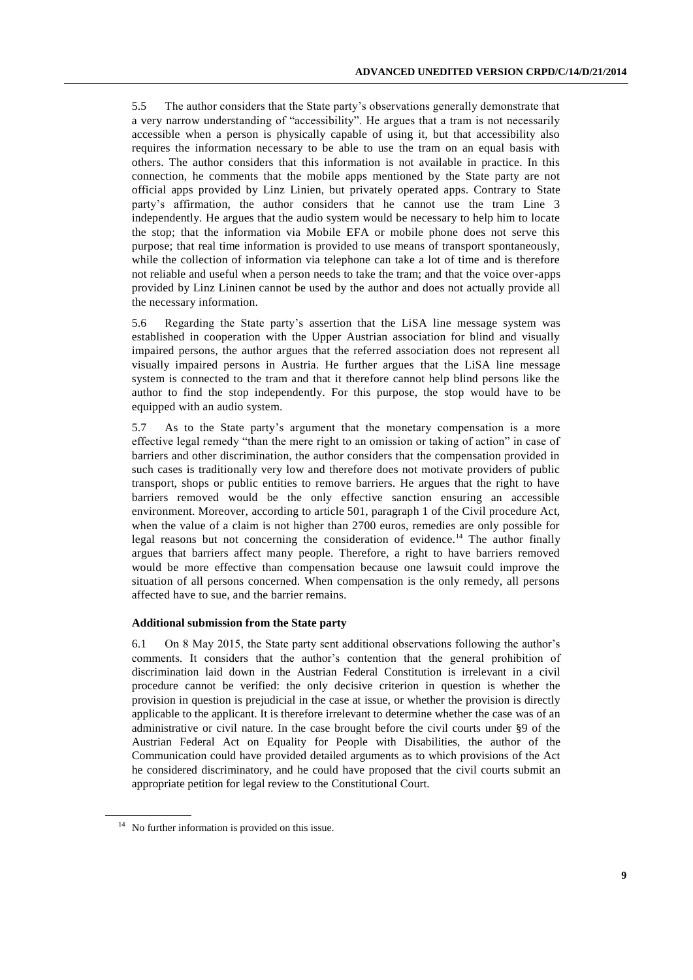5.5 The author considers that the State party's observations generally demonstrate that a very narrow understanding of "accessibility". He argues that a tram is not necessarily accessible when a person is physically capable of using it, but that accessibility also requires the information necessary to be able to use the tram on an equal basis with others. The author considers that this information is not available in practice. In this connection, he comments that the mobile apps mentioned by the State party are not official apps provided by Linz Linien, but privately operated apps. Contrary to State party's affirmation, the author considers that he cannot use the tram Line 3 independently. He argues that the audio system would be necessary to help him to locate the stop; that the information via Mobile EFA or mobile phone does not serve this purpose; that real time information is provided to use means of transport spontaneously, while the collection of information via telephone can take a lot of time and is therefore not reliable and useful when a person needs to take the tram; and that the voice over-apps provided by Linz Lininen cannot be used by the author and does not actually provide all the necessary information.

5.6 Regarding the State party's assertion that the LiSA line message system was established in cooperation with the Upper Austrian association for blind and visually impaired persons, the author argues that the referred association does not represent all visually impaired persons in Austria. He further argues that the LiSA line message system is connected to the tram and that it therefore cannot help blind persons like the author to find the stop independently. For this purpose, the stop would have to be equipped with an audio system.

5.7 As to the State party's argument that the monetary compensation is a more effective legal remedy "than the mere right to an omission or taking of action" in case of barriers and other discrimination, the author considers that the compensation provided in such cases is traditionally very low and therefore does not motivate providers of public transport, shops or public entities to remove barriers. He argues that the right to have barriers removed would be the only effective sanction ensuring an accessible environment. Moreover, according to article 501, paragraph 1 of the Civil procedure Act, when the value of a claim is not higher than 2700 euros, remedies are only possible for legal reasons but not concerning the consideration of evidence.<sup>14</sup> The author finally argues that barriers affect many people. Therefore, a right to have barriers removed would be more effective than compensation because one lawsuit could improve the situation of all persons concerned. When compensation is the only remedy, all persons affected have to sue, and the barrier remains.

#### **Additional submission from the State party**

6.1 On 8 May 2015, the State party sent additional observations following the author's comments. It considers that the author's contention that the general prohibition of discrimination laid down in the Austrian Federal Constitution is irrelevant in a civil procedure cannot be verified: the only decisive criterion in question is whether the provision in question is prejudicial in the case at issue, or whether the provision is directly applicable to the applicant. It is therefore irrelevant to determine whether the case was of an administrative or civil nature. In the case brought before the civil courts under §9 of the Austrian Federal Act on Equality for People with Disabilities, the author of the Communication could have provided detailed arguments as to which provisions of the Act he considered discriminatory, and he could have proposed that the civil courts submit an appropriate petition for legal review to the Constitutional Court.

<sup>&</sup>lt;sup>14</sup> No further information is provided on this issue.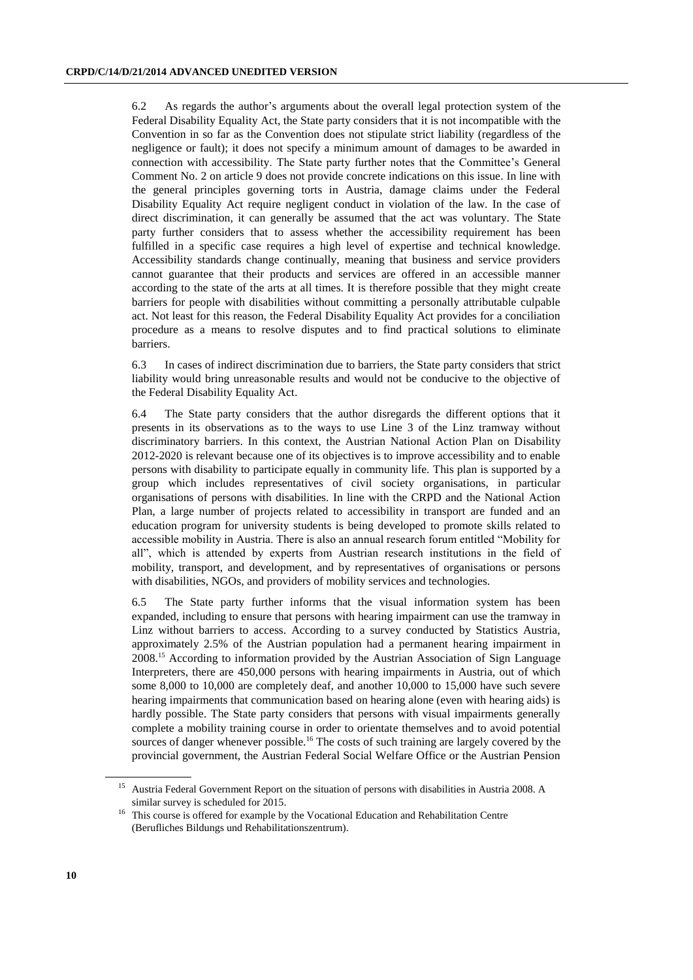6.2 As regards the author's arguments about the overall legal protection system of the Federal Disability Equality Act, the State party considers that it is not incompatible with the Convention in so far as the Convention does not stipulate strict liability (regardless of the negligence or fault); it does not specify a minimum amount of damages to be awarded in connection with accessibility. The State party further notes that the Committee's General Comment No. 2 on article 9 does not provide concrete indications on this issue. In line with the general principles governing torts in Austria, damage claims under the Federal Disability Equality Act require negligent conduct in violation of the law. In the case of direct discrimination, it can generally be assumed that the act was voluntary. The State party further considers that to assess whether the accessibility requirement has been fulfilled in a specific case requires a high level of expertise and technical knowledge. Accessibility standards change continually, meaning that business and service providers cannot guarantee that their products and services are offered in an accessible manner according to the state of the arts at all times. It is therefore possible that they might create barriers for people with disabilities without committing a personally attributable culpable act. Not least for this reason, the Federal Disability Equality Act provides for a conciliation procedure as a means to resolve disputes and to find practical solutions to eliminate barriers.

6.3 In cases of indirect discrimination due to barriers, the State party considers that strict liability would bring unreasonable results and would not be conducive to the objective of the Federal Disability Equality Act.

6.4 The State party considers that the author disregards the different options that it presents in its observations as to the ways to use Line 3 of the Linz tramway without discriminatory barriers. In this context, the Austrian National Action Plan on Disability 2012-2020 is relevant because one of its objectives is to improve accessibility and to enable persons with disability to participate equally in community life. This plan is supported by a group which includes representatives of civil society organisations, in particular organisations of persons with disabilities. In line with the CRPD and the National Action Plan, a large number of projects related to accessibility in transport are funded and an education program for university students is being developed to promote skills related to accessible mobility in Austria. There is also an annual research forum entitled "Mobility for all", which is attended by experts from Austrian research institutions in the field of mobility, transport, and development, and by representatives of organisations or persons with disabilities, NGOs, and providers of mobility services and technologies.

6.5 The State party further informs that the visual information system has been expanded, including to ensure that persons with hearing impairment can use the tramway in Linz without barriers to access. According to a survey conducted by Statistics Austria, approximately 2.5% of the Austrian population had a permanent hearing impairment in 2008.<sup>15</sup> According to information provided by the Austrian Association of Sign Language Interpreters, there are 450,000 persons with hearing impairments in Austria, out of which some 8,000 to 10,000 are completely deaf, and another 10,000 to 15,000 have such severe hearing impairments that communication based on hearing alone (even with hearing aids) is hardly possible. The State party considers that persons with visual impairments generally complete a mobility training course in order to orientate themselves and to avoid potential sources of danger whenever possible.<sup>16</sup> The costs of such training are largely covered by the provincial government, the Austrian Federal Social Welfare Office or the Austrian Pension

<sup>15</sup> Austria Federal Government Report on the situation of persons with disabilities in Austria 2008. A similar survey is scheduled for 2015.

<sup>&</sup>lt;sup>16</sup> This course is offered for example by the Vocational Education and Rehabilitation Centre (Berufliches Bildungs und Rehabilitationszentrum).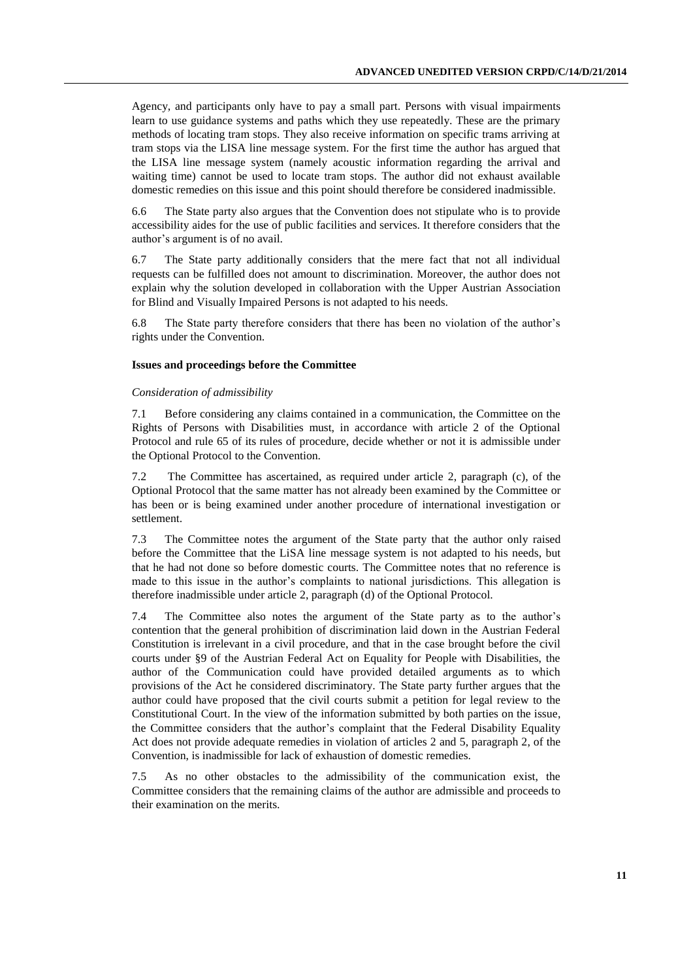Agency, and participants only have to pay a small part. Persons with visual impairments learn to use guidance systems and paths which they use repeatedly. These are the primary methods of locating tram stops. They also receive information on specific trams arriving at tram stops via the LISA line message system. For the first time the author has argued that the LISA line message system (namely acoustic information regarding the arrival and waiting time) cannot be used to locate tram stops. The author did not exhaust available domestic remedies on this issue and this point should therefore be considered inadmissible.

6.6 The State party also argues that the Convention does not stipulate who is to provide accessibility aides for the use of public facilities and services. It therefore considers that the author's argument is of no avail.

6.7 The State party additionally considers that the mere fact that not all individual requests can be fulfilled does not amount to discrimination. Moreover, the author does not explain why the solution developed in collaboration with the Upper Austrian Association for Blind and Visually Impaired Persons is not adapted to his needs.

6.8 The State party therefore considers that there has been no violation of the author's rights under the Convention.

#### **Issues and proceedings before the Committee**

#### *Consideration of admissibility*

7.1 Before considering any claims contained in a communication, the Committee on the Rights of Persons with Disabilities must, in accordance with article 2 of the Optional Protocol and rule 65 of its rules of procedure, decide whether or not it is admissible under the Optional Protocol to the Convention.

7.2 The Committee has ascertained, as required under article 2, paragraph (c), of the Optional Protocol that the same matter has not already been examined by the Committee or has been or is being examined under another procedure of international investigation or settlement.

7.3 The Committee notes the argument of the State party that the author only raised before the Committee that the LiSA line message system is not adapted to his needs, but that he had not done so before domestic courts. The Committee notes that no reference is made to this issue in the author's complaints to national jurisdictions. This allegation is therefore inadmissible under article 2, paragraph (d) of the Optional Protocol.

7.4 The Committee also notes the argument of the State party as to the author's contention that the general prohibition of discrimination laid down in the Austrian Federal Constitution is irrelevant in a civil procedure, and that in the case brought before the civil courts under §9 of the Austrian Federal Act on Equality for People with Disabilities, the author of the Communication could have provided detailed arguments as to which provisions of the Act he considered discriminatory. The State party further argues that the author could have proposed that the civil courts submit a petition for legal review to the Constitutional Court. In the view of the information submitted by both parties on the issue, the Committee considers that the author's complaint that the Federal Disability Equality Act does not provide adequate remedies in violation of articles 2 and 5, paragraph 2, of the Convention, is inadmissible for lack of exhaustion of domestic remedies.

7.5 As no other obstacles to the admissibility of the communication exist, the Committee considers that the remaining claims of the author are admissible and proceeds to their examination on the merits.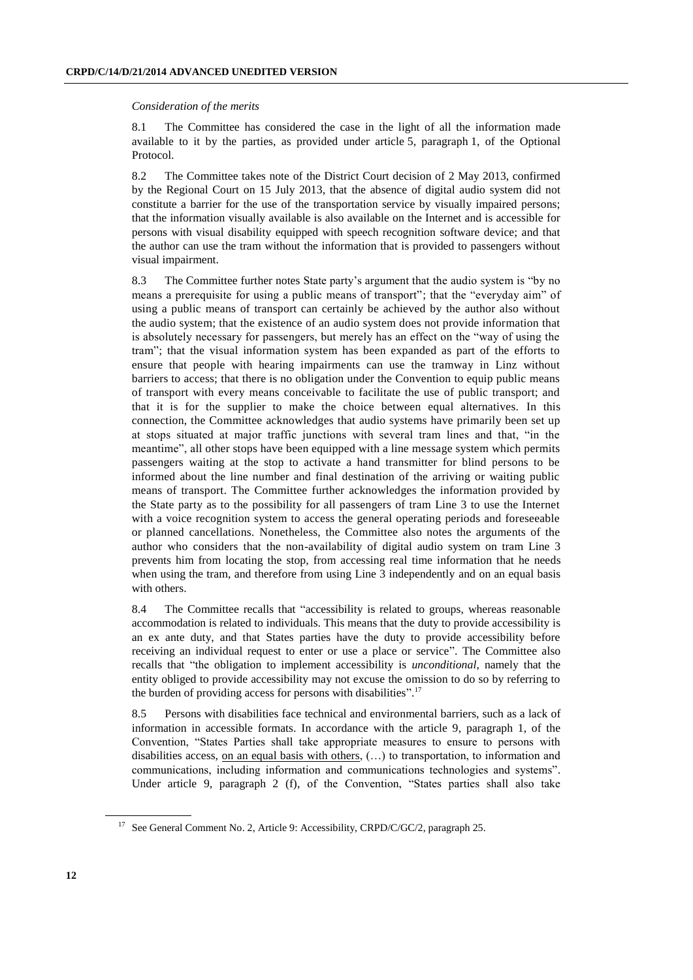#### *Consideration of the merits*

8.1 The Committee has considered the case in the light of all the information made available to it by the parties, as provided under article 5, paragraph 1, of the Optional Protocol.

8.2 The Committee takes note of the District Court decision of 2 May 2013, confirmed by the Regional Court on 15 July 2013, that the absence of digital audio system did not constitute a barrier for the use of the transportation service by visually impaired persons; that the information visually available is also available on the Internet and is accessible for persons with visual disability equipped with speech recognition software device; and that the author can use the tram without the information that is provided to passengers without visual impairment.

8.3 The Committee further notes State party's argument that the audio system is "by no means a prerequisite for using a public means of transport"; that the "everyday aim" of using a public means of transport can certainly be achieved by the author also without the audio system; that the existence of an audio system does not provide information that is absolutely necessary for passengers, but merely has an effect on the "way of using the tram"; that the visual information system has been expanded as part of the efforts to ensure that people with hearing impairments can use the tramway in Linz without barriers to access; that there is no obligation under the Convention to equip public means of transport with every means conceivable to facilitate the use of public transport; and that it is for the supplier to make the choice between equal alternatives. In this connection, the Committee acknowledges that audio systems have primarily been set up at stops situated at major traffic junctions with several tram lines and that, "in the meantime", all other stops have been equipped with a line message system which permits passengers waiting at the stop to activate a hand transmitter for blind persons to be informed about the line number and final destination of the arriving or waiting public means of transport. The Committee further acknowledges the information provided by the State party as to the possibility for all passengers of tram Line 3 to use the Internet with a voice recognition system to access the general operating periods and foreseeable or planned cancellations. Nonetheless, the Committee also notes the arguments of the author who considers that the non-availability of digital audio system on tram Line 3 prevents him from locating the stop, from accessing real time information that he needs when using the tram, and therefore from using Line 3 independently and on an equal basis with others.

8.4 The Committee recalls that "accessibility is related to groups, whereas reasonable accommodation is related to individuals. This means that the duty to provide accessibility is an ex ante duty, and that States parties have the duty to provide accessibility before receiving an individual request to enter or use a place or service". The Committee also recalls that "the obligation to implement accessibility is *unconditional*, namely that the entity obliged to provide accessibility may not excuse the omission to do so by referring to the burden of providing access for persons with disabilities". 17

8.5 Persons with disabilities face technical and environmental barriers, such as a lack of information in accessible formats. In accordance with the article 9, paragraph 1, of the Convention, "States Parties shall take appropriate measures to ensure to persons with disabilities access, on an equal basis with others,  $(...)$  to transportation, to information and communications, including information and communications technologies and systems". Under article 9, paragraph 2 (f), of the Convention, "States parties shall also take

<sup>&</sup>lt;sup>17</sup> See General Comment No. 2, Article 9: Accessibility, CRPD/C/GC/2, paragraph 25.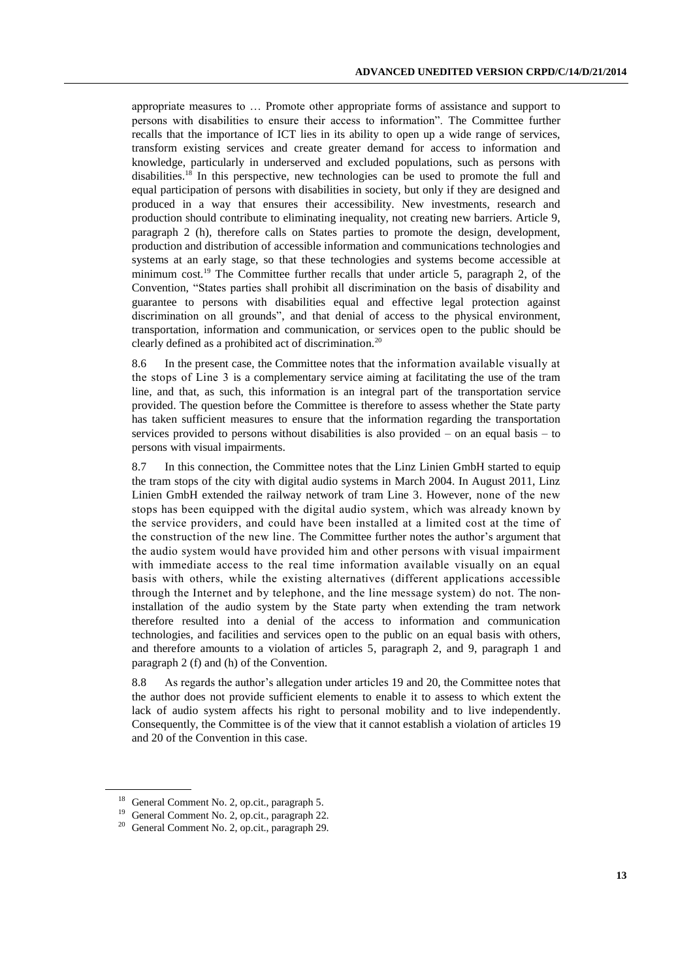appropriate measures to … Promote other appropriate forms of assistance and support to persons with disabilities to ensure their access to information". The Committee further recalls that the importance of ICT lies in its ability to open up a wide range of services, transform existing services and create greater demand for access to information and knowledge, particularly in underserved and excluded populations, such as persons with disabilities.<sup>18</sup> In this perspective, new technologies can be used to promote the full and equal participation of persons with disabilities in society, but only if they are designed and produced in a way that ensures their accessibility. New investments, research and production should contribute to eliminating inequality, not creating new barriers. Article 9, paragraph 2 (h), therefore calls on States parties to promote the design, development, production and distribution of accessible information and communications technologies and systems at an early stage, so that these technologies and systems become accessible at minimum cost.<sup>19</sup> The Committee further recalls that under article 5, paragraph 2, of the Convention, "States parties shall prohibit all discrimination on the basis of disability and guarantee to persons with disabilities equal and effective legal protection against discrimination on all grounds", and that denial of access to the physical environment, transportation, information and communication, or services open to the public should be clearly defined as a prohibited act of discrimination.<sup>20</sup>

8.6 In the present case, the Committee notes that the information available visually at the stops of Line 3 is a complementary service aiming at facilitating the use of the tram line, and that, as such, this information is an integral part of the transportation service provided. The question before the Committee is therefore to assess whether the State party has taken sufficient measures to ensure that the information regarding the transportation services provided to persons without disabilities is also provided – on an equal basis – to persons with visual impairments.

8.7 In this connection, the Committee notes that the Linz Linien GmbH started to equip the tram stops of the city with digital audio systems in March 2004. In August 2011, Linz Linien GmbH extended the railway network of tram Line 3. However, none of the new stops has been equipped with the digital audio system, which was already known by the service providers, and could have been installed at a limited cost at the time of the construction of the new line. The Committee further notes the author's argument that the audio system would have provided him and other persons with visual impairment with immediate access to the real time information available visually on an equal basis with others, while the existing alternatives (different applications accessible through the Internet and by telephone, and the line message system) do not. The noninstallation of the audio system by the State party when extending the tram network therefore resulted into a denial of the access to information and communication technologies, and facilities and services open to the public on an equal basis with others, and therefore amounts to a violation of articles 5, paragraph 2, and 9, paragraph 1 and paragraph 2 (f) and (h) of the Convention.

8.8 As regards the author's allegation under articles 19 and 20, the Committee notes that the author does not provide sufficient elements to enable it to assess to which extent the lack of audio system affects his right to personal mobility and to live independently. Consequently, the Committee is of the view that it cannot establish a violation of articles 19 and 20 of the Convention in this case.

<sup>18</sup> General Comment No. 2, op.cit., paragraph 5.

<sup>19</sup> General Comment No. 2, op.cit., paragraph 22.

<sup>20</sup> General Comment No. 2, op.cit., paragraph 29.